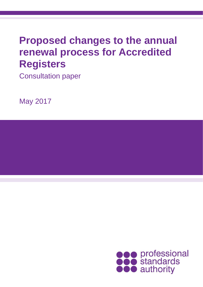# **Proposed changes to the annual renewal process for Accredited Registers**

Consultation paper

May 2017

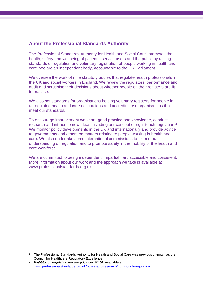### **About the Professional Standards Authority**

The Professional Standards Authority for Health and Social Care<sup>1</sup> promotes the health, safety and wellbeing of patients, service users and the public by raising standards of regulation and voluntary registration of people working in health and care. We are an independent body, accountable to the UK Parliament.

We oversee the work of nine statutory bodies that regulate health professionals in the UK and social workers in England. We review the regulators' performance and audit and scrutinise their decisions about whether people on their registers are fit to practise.

We also set standards for organisations holding voluntary registers for people in unregulated health and care occupations and accredit those organisations that meet our standards.

To encourage improvement we share good practice and knowledge, conduct research and introduce new ideas including our concept of right-touch regulation.<sup>2</sup> We monitor policy developments in the UK and internationally and provide advice to governments and others on matters relating to people working in health and care. We also undertake some international commissions to extend our understanding of regulation and to promote safety in the mobility of the health and care workforce.

We are committed to being independent, impartial, fair, accessible and consistent. More information about our work and the approach we take is available at [www.professionalstandards.org.uk.](http://www.professionalstandards.org.uk/)

 $\overline{a}$ 

<sup>&</sup>lt;sup>1</sup> The Professional Standards Authority for Health and Social Care was previously known as the Council for Healthcare Regulatory Excellence

<sup>2</sup> *Right-touch regulation revised (October 2015)*. Available at [www.professionalstandards.org.uk/policy-and-research/right-touch-regulation](file:///D:/Users/gmockler/AppData/Local/Microsoft/Windows/Temporary%20Internet%20Files/Content.Outlook/VYV4HWJ0/www.professionalstandards.org.uk/policy-and-research/right-touch-regulation)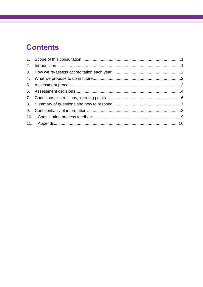# **Contents**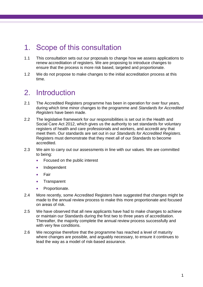### <span id="page-3-0"></span>1. Scope of this consultation

- 1.1 This consultation sets out our proposals to change how we assess applications to renew accreditation of registers. We are proposing to introduce changes to ensure that the process is more risk based, targeted and proportionate.
- 1.2 We do not propose to make changes to the initial accreditation process at this time.

### <span id="page-3-1"></span>2. Introduction

- 2.1 The Accredited Registers programme has been in operation for over four years, during which time minor changes to the programme and *Standards for Accredited Registers* have been made.
- 2.2 The legislative framework for our responsibilities is set out in the Health and Social Care Act 2012, which gives us the authority to set standards for voluntary registers of health and care professionals and workers, and accredit any that meet them. Our standards are set out in our *Standards for Accredited Registers.*  Registers must demonstrate that they meet all of our Standards to become accredited.
- 2.3 We aim to carry out our assessments in line with our values. We are committed to being:
	- Focused on the public interest
	- Independent
	- **•** Fair
	- Transparent
	- Proportionate.
- 2.4 More recently, some Accredited Registers have suggested that changes might be made to the annual review process to make this more proportionate and focused on areas of risk.
- 2.5 We have observed that all new applicants have had to make changes to achieve or maintain our Standards during the first two to three years of accreditation. Thereafter, the majority complete the annual review process successfully and with very few conditions.
- 2.6 We recognise therefore that the programme has reached a level of maturity where changes are possible, and arguably necessary, to ensure it continues to lead the way as a model of risk-based assurance.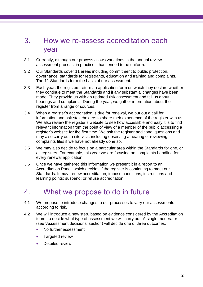### <span id="page-4-0"></span>3. How we re-assess accreditation each year

- 3.1 Currently, although our process allows variations in the annual review assessment process, in practice it has tended to be uniform.
- 3.2 Our Standards cover 11 areas including commitment to public protection, governance, standards for registrants, education and training and complaints. The 11 Standards form the basis of our assessment.
- 3.3 Each year, the registers return an application form on which they declare whether they continue to meet the Standards and if any substantial changes have been made. They provide us with an updated risk assessment and tell us about hearings and complaints. During the year, we gather information about the register from a range of sources.
- 3.4 When a register's accreditation is due for renewal, we put out a call for information and ask stakeholders to share their experience of the register with us. We also review the register's website to see how accessible and easy it is to find relevant information from the point of view of a member of the public accessing a register's website for the first time. We ask the register additional questions and may also carry out a site visit, including observing a hearing or reviewing complaints files if we have not already done so.
- 3.5 We may also decide to focus on a particular area within the Standards for one, or all registers. For example, this year we are focusing on complaints handling for every renewal application.
- 3.6 Once we have gathered this information we present it in a report to an Accreditation Panel, which decides if the register is continuing to meet our Standards. It may: renew accreditation; impose conditions, instructions and learning points; suspend; or refuse accreditation.

### <span id="page-4-1"></span>4. What we propose to do in future

- 4.1 We propose to introduce changes to our processes to vary our assessments according to risk.
- 4.2 We will introduce a new step, based on evidence considered by the Accreditation team, to decide what type of assessment we will carry out. A single moderator (see 'Assessment decisions' section) will decide one of three outcomes:
	- No further assessment
	- Targeted review
	- Detailed review.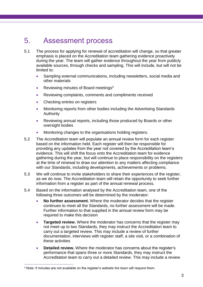### <span id="page-5-0"></span>5. Assessment process

- 5.1 The process for applying for renewal of accreditation will change, so that greater emphasis is placed on the Accreditation team gathering evidence proactively during the year. The team will gather evidence throughout the year from publicly available sources, through checks and sampling. This will include, but will not be limited to:
	- Sampling external communications, including newsletters, social media and other materials
	- Reviewing minutes of Board meetings<sup>3</sup>
	- Reviewing complaints, comments and compliments received
	- Checking entries on registers
	- Monitoring reports from other bodies including the Advertising Standards Authority
	- Reviewing annual reports, including those produced by Boards or other oversight bodies
	- Monitoring changes to the organisations holding registers.
- 5.2 The Accreditation team will populate an annual review form for each register based on the information held. Each register will then be responsible for providing any updates from the year not covered by the Accreditation team's evidence. This will shift the focus onto the Accreditation team for evidence gathering during the year, but will continue to place responsibility on the registers at the time of renewal to draw our attention to any matters affecting compliance with our Standards, including developments, achievements or problems.
- 5.3 We will continue to invite stakeholders to share their experiences of the register, as we do now. The Accreditation team will retain the opportunity to seek further information from a register as part of the annual renewal process.
- 5.4 Based on the information analysed by the Accreditation team, one of the following three outcomes will be determined by the moderator:
	- **No further assessment.** Where the moderator decides that the register continues to meet all the Standards, no further assessment will be made. Further information to that supplied in the annual review form may be required to make this decision
	- **Targeted review.** Where the moderator has concerns that the register may not meet up to two Standards, they may instruct the Accreditation team to carry out a targeted review. This may include a review of further documentation, interviews with register staff, a site visit, or a combination of these activities
	- **Detailed review.** Where the moderator has concerns about the register's performance that spans three or more Standards, they may instruct the Accreditation team to carry out a detailed review. This may include a review

 $\overline{a}$ 

<sup>3</sup> Note: if minutes are not available on the register's website the team will request them.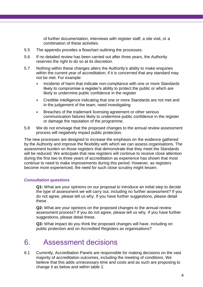of further documentation, interviews with register staff, a site visit, or a combination of these activities.

- 5.5 The appendix provides a flowchart outlining the processes.
- 5.6 If no detailed review has been carried out after three years, the Authority reserves the right to do so at its discretion.
- 5.7 Nothing within these changes alters the Authority's ability to make enquiries within the current year of accreditation, if it is concerned that any standard may not be met. For example:
	- Incidents of harm that indicate non-compliance with one or more Standards likely to compromise a register's ability to protect the public or which are likely to undermine public confidence in the register
	- Credible intelligence indicating that one or more Standards are not met and in the judgement of the team, need investigating
	- **Breaches of the trademark licensing agreement or other serious** communication failures likely to undermine public confidence in the register or damage the reputation of the programme.
- 5.8 We do not envisage that the proposed changes to the annual review assessment process will negatively impact public protection.

The new processes are designed to increase the emphasis on the evidence gathered by the Authority and improve the flexibility with which we can assess organisations. The assessment burden on those registers that demonstrate that they meet the Standards will be reduced. We anticipate that new registers will continue to receive close attention during the first two to three years of accreditation as experience has shown that most continue to need to make improvements during this period. However, as registers become more experienced, the need for such close scrutiny might lessen.

#### *Consultation questions*

**Q1:** What are your opinions on our proposal to introduce an initial step to decide the type of assessment we will carry out, including no further assessment? If you do not agree, please tell us why. If you have further suggestions, please detail these.

**Q2:** What are your opinions on the proposed changes to the annual review assessment process? If you do not agree, please tell us why. If you have further suggestions, please detail these.

**Q3:** What impact do you think the proposed changes will have, including on public protection and on Accredited Registers as organisations?

### <span id="page-6-0"></span>6. Assessment decisions

6.1 Currently, Accreditation Panels are responsible for making decisions on the vast majority of accreditation outcomes, including the meeting of conditions. We believe that this adds unnecessary time and costs and as such are proposing to change it as below and within table 1: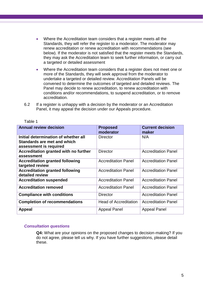- Where the Accreditation team considers that a register meets all the Standards, they will refer the register to a moderator. The moderator may renew accreditation or renew accreditation with recommendations (see below). If the moderator is not satisfied that the register meets the Standards, they may ask the Accreditation team to seek further information, or carry out a targeted or detailed assessment
- Where the Accreditation team considers that a register does not meet one or more of the Standards, they will seek approval from the moderator to undertake a targeted or detailed review. Accreditation Panels will be convened to determine the outcomes of targeted and detailed reviews. The Panel may decide to renew accreditation, to renew accreditation with conditions and/or recommendations, to suspend accreditation, or to remove accreditation.
- 6.2 If a register is unhappy with a decision by the moderator or an Accreditation Panel, it may appeal the decision under our Appeals procedure.

| <b>Annual review decision</b>                                                                 | <b>Proposed</b><br>moderator | <b>Current decision</b><br>maker |
|-----------------------------------------------------------------------------------------------|------------------------------|----------------------------------|
| Initial determination of whether all<br>Standards are met and which<br>assessment is required | <b>Director</b>              | N/A                              |
| Accreditation granted with no further<br>assessment                                           | <b>Director</b>              | <b>Accreditation Panel</b>       |
| <b>Accreditation granted following</b><br>targeted review                                     | <b>Accreditation Panel</b>   | <b>Accreditation Panel</b>       |
| <b>Accreditation granted following</b><br>detailed review                                     | <b>Accreditation Panel</b>   | <b>Accreditation Panel</b>       |
| <b>Accreditation suspended</b>                                                                | <b>Accreditation Panel</b>   | <b>Accreditation Panel</b>       |
| <b>Accreditation removed</b>                                                                  | <b>Accreditation Panel</b>   | <b>Accreditation Panel</b>       |
| <b>Compliance with conditions</b>                                                             | <b>Director</b>              | <b>Accreditation Panel</b>       |
| <b>Completion of recommendations</b>                                                          | <b>Head of Accreditation</b> | <b>Accreditation Panel</b>       |
| <b>Appeal</b>                                                                                 | <b>Appeal Panel</b>          | <b>Appeal Panel</b>              |

#### Table 1

#### *Consultation questions*

**Q4:** What are your opinions on the proposed changes to decision-making? If you do not agree, please tell us why. If you have further suggestions, please detail these.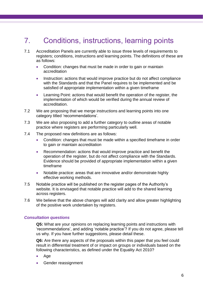### <span id="page-8-0"></span>7. Conditions, instructions, learning points

- 7.1 Accreditation Panels are currently able to issue three levels of requirements to registers; conditions, instructions and learning points. The definitions of these are as follows:
	- Condition: changes that must be made in order to gain or maintain accreditation
	- Instruction: actions that would improve practice but do not affect compliance with the Standards and that the Panel requires to be implemented and be satisfied of appropriate implementation within a given timeframe
	- Learning Point: actions that would benefit the operation of the register, the implementation of which would be verified during the annual review of accreditation.
- 7.2 We are proposing that we merge instructions and learning points into one category titled 'recommendations'.
- 7.3 We are also proposing to add a further category to outline areas of notable practice where registers are performing particularly well.
- 7.4 The proposed new definitions are as follows:
	- Condition: changes that must be made within a specified timeframe in order to gain or maintain accreditation
	- Recommendation: actions that would improve practice and benefit the operation of the register, but do not affect compliance with the Standards. Evidence should be provided of appropriate implementation within a given timeframe
	- Notable practice: areas that are innovative and/or demonstrate highly effective working methods.
- 7.5 Notable practice will be published on the register pages of the Authority's website. It is envisaged that notable practice will add to the shared learning across registers.
- 7.6 We believe that the above changes will add clarity and allow greater highlighting of the positive work undertaken by registers.

#### *Consultation questions*

**Q5:** What are your opinions on replacing learning points and instructions with 'recommendations', and adding 'notable practice'? If you do not agree, please tell us why. If you have further suggestions, please detail these.

**Q6:** Are there any aspects of the proposals within this paper that you feel could result in differential treatment of or impact on groups or individuals based on the following characteristics, as defined under the Equality Act 2010?

- Age
- Gender reassignment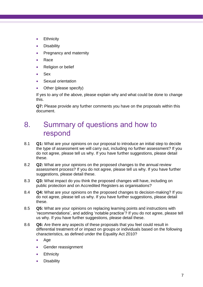- **•** Ethnicity
- Disability
- Pregnancy and maternity
- Race
- Religion or belief
- Sex
- Sexual orientation
- Other (please specify)

If yes to any of the above, please explain why and what could be done to change this.

**Q7:** Please provide any further comments you have on the proposals within this document.

### <span id="page-9-0"></span>8. Summary of questions and how to respond

- 8.1 **Q1:** What are your opinions on our proposal to introduce an initial step to decide the type of assessment we will carry out, including no further assessment? If you do not agree, please tell us why. If you have further suggestions, please detail these.
- 8.2 **Q2:** What are your opinions on the proposed changes to the annual review assessment process? If you do not agree, please tell us why. If you have further suggestions, please detail these.
- 8.3 **Q3:** What impact do you think the proposed changes will have, including on public protection and on Accredited Registers as organisations?
- 8.4 **Q4:** What are your opinions on the proposed changes to decision-making? If you do not agree, please tell us why. If you have further suggestions, please detail these.
- 8.5 **Q5:** What are your opinions on replacing learning points and instructions with 'recommendations', and adding 'notable practice'? If you do not agree, please tell us why. If you have further suggestions, please detail these.
- 8.6 **Q6:** Are there any aspects of these proposals that you feel could result in differential treatment of or impact on groups or individuals based on the following characteristics, as defined under the Equality Act 2010?
	- Age
	- Gender reassignment
	- **•** Ethnicity
	- **Disability**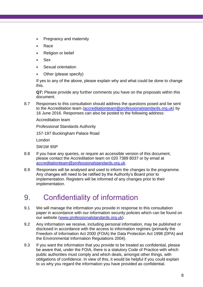- Pregnancy and maternity
- Race
- Religion or belief
- Sex
- Sexual orientation
- Other (please specify)

If yes to any of the above, please explain why and what could be done to change this.

**Q7:** Please provide any further comments you have on the proposals within this document.

8.7 Responses to this consultation should address the questions posed and be sent to the Accreditation team [\(accreditationteam@professionalstandards.org.uk\)](mailto:accreditationteam@professionalstandards.org.uk) by 16 June 2016. Responses can also be posted to the following address:

Accreditation team

Professional Standards Authority

157-197 Buckingham Palace Road

London

SW1W 9SP

- 8.8 If you have any queries, or require an accessible version of this document, please contact the Accreditation team on 020 7389 8037 or by email at [accreditationteam@professionalstandards.org.uk.](mailto:accreditationteam@professionalstandards.org.uk)
- 8.9 Responses will be analysed and used to inform the changes to the programme. Any changes will need to be ratified by the Authority's Board prior to implementation. Registers will be informed of any changes prior to their implementation.

### <span id="page-10-0"></span>9. Confidentiality of information

- 9.1 We will manage the information you provide in response to this consultation paper in accordance with our information security policies which can be found on our website [\(www.professionalstandards.org.uk\)](http://www.professionalstandards.org.uk/).
- 9.2 Any information we receive, including personal information, may be published or disclosed in accordance with the access to information regimes (primarily the Freedom of Information Act 2000 (FOIA) the Data Protection Act 1998 (DPA) and the Environmental Information Regulations 2004).
- 9.3 If you want the information that you provide to be treated as confidential, please be aware that, under the FOIA, there is a statutory Code of Practice with which public authorities must comply and which deals, amongst other things, with obligations of confidence. In view of this, it would be helpful if you could explain to us why you regard the information you have provided as confidential.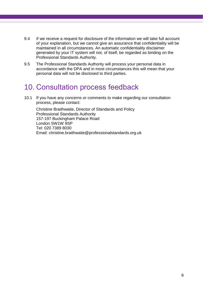- 9.4 If we receive a request for disclosure of the information we will take full account of your explanation, but we cannot give an assurance that confidentiality will be maintained in all circumstances. An automatic confidentiality disclaimer generated by your IT system will not, of itself, be regarded as binding on the Professional Standards Authority.
- 9.5 The Professional Standards Authority will process your personal data in accordance with the DPA and in most circumstances this will mean that your personal data will not be disclosed to third parties.

### <span id="page-11-0"></span>10. Consultation process feedback

10.1 If you have any concerns or comments to make regarding our consultation process, please contact:

Christine Braithwaite, Director of Standards and Policy Professional Standards Authority 157-197 Buckingham Palace Road London SW1W 9SP Tel: 020 7389 8030 Email: [christine.braithwaite@professionalstandards.org.uk](mailto:christine.braithwaite@professionalstandards.org.uk)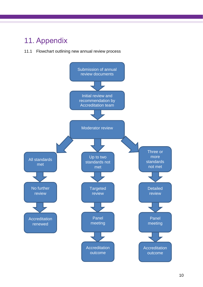## <span id="page-12-0"></span>11. Appendix

### 11.1 Flowchart outlining new annual review process